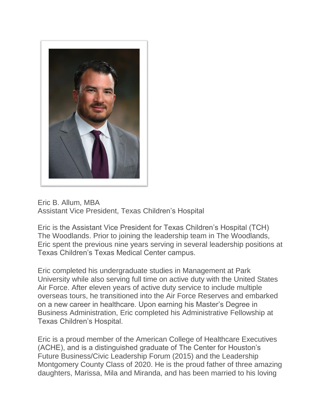

Eric B. Allum, MBA Assistant Vice President, Texas Children's Hospital

Eric is the Assistant Vice President for Texas Children's Hospital (TCH) The Woodlands. Prior to joining the leadership team in The Woodlands, Eric spent the previous nine years serving in several leadership positions at Texas Children's Texas Medical Center campus.

Eric completed his undergraduate studies in Management at Park University while also serving full time on active duty with the United States Air Force. After eleven years of active duty service to include multiple overseas tours, he transitioned into the Air Force Reserves and embarked on a new career in healthcare. Upon earning his Master's Degree in Business Administration, Eric completed his Administrative Fellowship at Texas Children's Hospital.

Eric is a proud member of the American College of Healthcare Executives (ACHE), and is a distinguished graduate of The Center for Houston's Future Business/Civic Leadership Forum (2015) and the Leadership Montgomery County Class of 2020. He is the proud father of three amazing daughters, Marissa, Mila and Miranda, and has been married to his loving